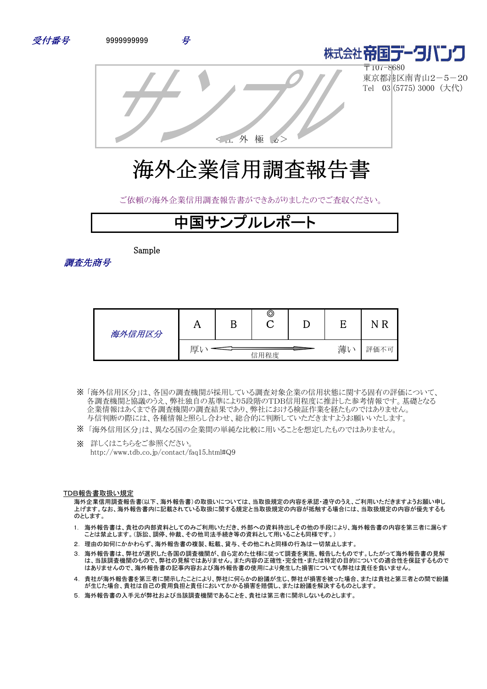



〒107-8680 東京都港区南青山2-5-20 Tel 03 (5775) 3000 (大代)

<社 外 極 秘>

# 海外企業信用調査報告書

ご依頼の海外企業信用調査報告書ができあがりましたのでご査収ください。

## 中国サンプルレポート

Sample

調査先商号

| 海外信用区分 |   | ©    |   |      |
|--------|---|------|---|------|
|        | 厚 | 信用程度 | 薄 | 評価不可 |

- 「海外信用区分」は、各国の調査機関が採用している調査対象企業の信用状態に関する固有の評価について、 ※ 各調査機関と協議のうえ、弊社独自の基準により5段階のTDB信用程度に推計した参考情報です。基礎となる 企業情報はあくまで各調査機関の調査結果であり、弊社における検証作業を経たものではありません。 与信判断の際には、各種情報と照らし合わせ、総合的に判断していただきますようお願いいたします。
- ※ 「海外信用区分」は、異なる国の企業間の単純な比較に用いることを想定したものではありません。
- ※ 詳しくはこちらをご参照ください。 http://www.tdb.co.jp/contact/faq15.html#Q9

#### TDB報告書取扱い規定

海外企業信用調査報告書(以下、海外報告書)の取扱いについては、当取扱規定の内容を承認・遵守のうえ、ご利用いただきますようお願い申し 上げます。なお、海外報告書内に記載されている取扱に関する規定と当取扱規定の内容が抵触する場合には、当取扱規定の内容が優先するも のとします。

- 1. 海外報告書は、貴社の内部資料としてのみご利用いただき、外部への資料持出しその他の手段により、海外報告書の内容を第三者に漏らす ことは禁止します。(訴訟、調停、仲裁、その他司法手続き等の資料として用いることも同様です。)
- 2. 理由の如何にかかわらず、海外報告書の複製、転載、貸与、その他これと同様の行為は一切禁止します。
- 3. 海外報告書は、弊社が選択した各国の調査機関が、自ら定めた仕様に従って調査を実施、報告したものです。したがって海外報告書の見解 は、当該調査機関のもので、弊社の見解ではありません。また内容の正確性・完全性・または特定の目的についての適合性を保証するもので はありませんので、海外報告書の記事内容および海外報告書の使用により発生した損害についても弊社は責任を負いません。
- 4. 貴社が海外報告書を第三者に開示したことにより、弊社に何らかの紛議が生じ、弊社が損害を被った場合、または貴社と第三者との間で紛議 が生じた場合、貴社は自己の費用負担と責任においてかかる損害を賠償し、または紛議を解決するものとします。
- 5. 海外報告書の入手元が弊社および当該調査機関であることを、貴社は第三者に開示しないものとします。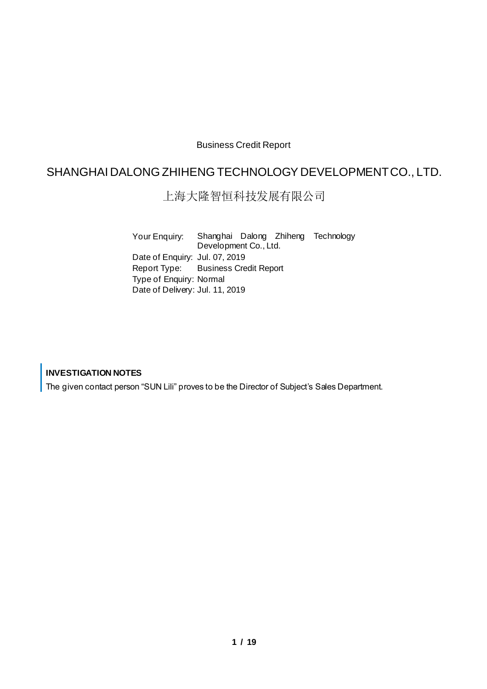#### Business Credit Report

### SHANGHAI DALONG ZHIHENG TECHNOLOGY DEVELOPMENT CO., LTD.

#### 上海大隆智恒科技发展有限公司

Your Enquiry: Shanghai Dalong Zhiheng Technology Development Co., Ltd. Date of Enquiry: Jul. 07, 2019 Report Type: Business Credit Report Type of Enquiry: Normal Date of Delivery: Jul. 11, 2019

#### **INVESTIGATION NOTES**

The given contact person "SUN Lili" proves to be the Director of Subject's Sales Department.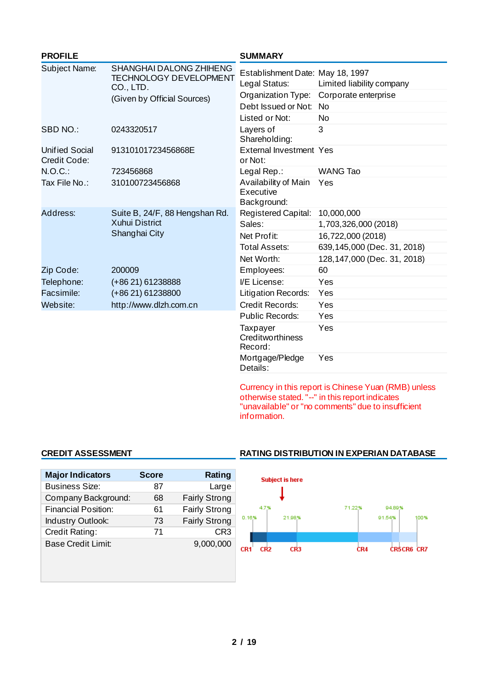| <b>PROFILE</b>                        |                                                                              | <b>SUMMARY</b>                                    |                               |
|---------------------------------------|------------------------------------------------------------------------------|---------------------------------------------------|-------------------------------|
| Subject Name:                         | <b>SHANGHAI DALONG ZHIHENG</b><br><b>TECHNOLOGY DEVELOPMENT</b><br>CO., LTD. | Establishment Date: May 18, 1997<br>Legal Status: | Limited liability company     |
|                                       | (Given by Official Sources)                                                  | Organization Type:                                | Corporate enterprise          |
|                                       |                                                                              | Debt Issued or Not:                               | <b>No</b>                     |
|                                       |                                                                              | Listed or Not:                                    | <b>No</b>                     |
| <b>SBD NO.:</b>                       | 0243320517                                                                   | Layers of<br>Shareholding:                        | 3                             |
| <b>Unified Social</b><br>Credit Code: | 91310101723456868E                                                           | <b>External Investment Yes</b><br>or Not:         |                               |
| $N.O.C.$ :                            | 723456868                                                                    | Legal Rep.:                                       | <b>WANG Tao</b>               |
| Tax File No.:                         | 310100723456868                                                              | Availability of Main<br>Executive<br>Background:  | Yes                           |
| Address:                              | Suite B, 24/F, 88 Hengshan Rd.<br>Xuhui District<br>Shanghai City            | Registered Capital:                               | 10,000,000                    |
|                                       |                                                                              | Sales:                                            | 1,703,326,000 (2018)          |
|                                       |                                                                              | Net Profit:                                       | 16,722,000 (2018)             |
|                                       |                                                                              | Total Assets:                                     | 639, 145, 000 (Dec. 31, 2018) |
|                                       |                                                                              | Net Worth:                                        | 128, 147, 000 (Dec. 31, 2018) |
| Zip Code:                             | 200009                                                                       | Employees:                                        | 60                            |
| Telephone:                            | (+86 21) 61238888                                                            | I/E License:                                      | Yes                           |
| Facsimile:                            | (+86 21) 61238800                                                            | <b>Litigation Records:</b>                        | Yes                           |
| Website:                              | http://www.dlzh.com.cn                                                       | Credit Records:                                   | Yes                           |
|                                       |                                                                              | Public Records:                                   | Yes                           |
|                                       |                                                                              | Taxpayer<br>Creditworthiness<br>Record:           | Yes                           |
|                                       |                                                                              | Mortgage/Pledge<br>Details:                       | Yes                           |

Currency in this report is Chinese Yuan (RMB) unless otherwise stated. "--" in this report indicates "unavailable" or "no comments" due to insufficient information.

| <b>Major Indicators</b>   | Score | <b>Rating</b>        |
|---------------------------|-------|----------------------|
| <b>Business Size:</b>     | 87    | Large                |
| Company Background:       | 68    | <b>Fairly Strong</b> |
| Financial Position:       | 61    | <b>Fairly Strong</b> |
| Industry Outlook:         | 73    | <b>Fairly Strong</b> |
| Credit Rating:            | 71    | CR <sub>3</sub>      |
| <b>Base Credit Limit:</b> |       | 9,000,000            |
|                           |       |                      |

#### **CREDIT ASSESSMENT RATING DISTRIBUTION IN EXPERIAN DATABASE**

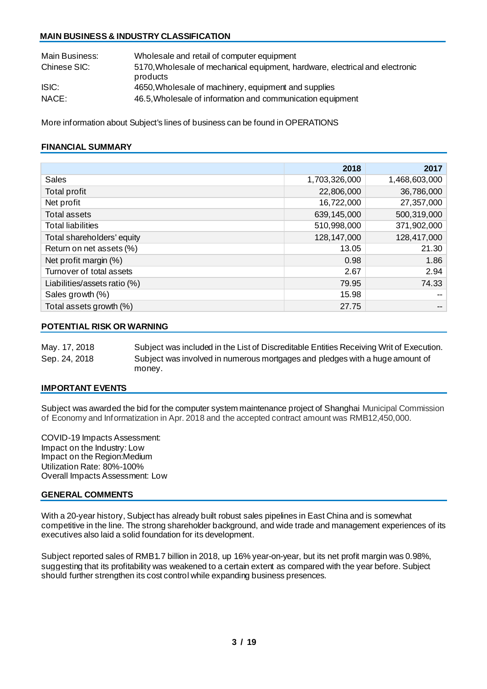#### **MAIN BUSINESS & INDUSTRY CLASSIFICATION**

| Main Business: | Wholesale and retail of computer equipment                                                |
|----------------|-------------------------------------------------------------------------------------------|
| Chinese SIC:   | 5170, Who lesale of mechanical equipment, hardware, electrical and electronic<br>products |
| ISIC:          | 4650, Wholesale of machinery, equipment and supplies                                      |
| NACE:          | 46.5, Wholesale of information and communication equipment                                |

More information about Subject's lines of business can be found in OPERATIONS

#### **FINANCIAL SUMMARY**

|                              | 2018          | 2017          |
|------------------------------|---------------|---------------|
| <b>Sales</b>                 | 1,703,326,000 | 1,468,603,000 |
| Total profit                 | 22,806,000    | 36,786,000    |
| Net profit                   | 16,722,000    | 27,357,000    |
| <b>Total assets</b>          | 639,145,000   | 500,319,000   |
| <b>Total liabilities</b>     | 510,998,000   | 371,902,000   |
| Total shareholders' equity   | 128, 147, 000 | 128,417,000   |
| Return on net assets (%)     | 13.05         | 21.30         |
| Net profit margin (%)        | 0.98          | 1.86          |
| Turnover of total assets     | 2.67          | 2.94          |
| Liabilities/assets ratio (%) | 79.95         | 74.33         |
| Sales growth (%)             | 15.98         |               |
| Total assets growth (%)      | 27.75         | --            |

#### **POTENTIAL RISK OR WARNING**

May. 17, 2018 Subject was included in the List of Discreditable Entities Receiving Writ of Execution. Sep. 24, 2018 Subject was involved in numerous mortgages and pledges with a hugeamount of money.

#### **IMPORTANT EVENTS**

Subject was awarded the bid for the computer system maintenance project of Shanghai Municipal Commission of Economy and Informatization in Apr. 2018 and the accepted contract amount was RMB12,450,000.

COVID-19 Impacts Assessment: Impact on the Industry: Low Impact on the Region:Medium Utilization Rate: 80%-100% Overall Impacts Assessment: Low

#### **GENERAL COMMENTS**

With a 20-year history, Subject has already built robust sales pipelines in East China and is somewhat competitive in the line. The strong shareholder background, and wide trade and management experiences of its executives also laid a solid foundation for its development.

Subject reported sales of RMB1.7 billion in 2018, up 16% year-on-year, but its net profit margin was 0.98%, suggesting that its profitability was weakened to a certain extent as compared with the year before. Subject should further strengthen its cost control while expanding business presences.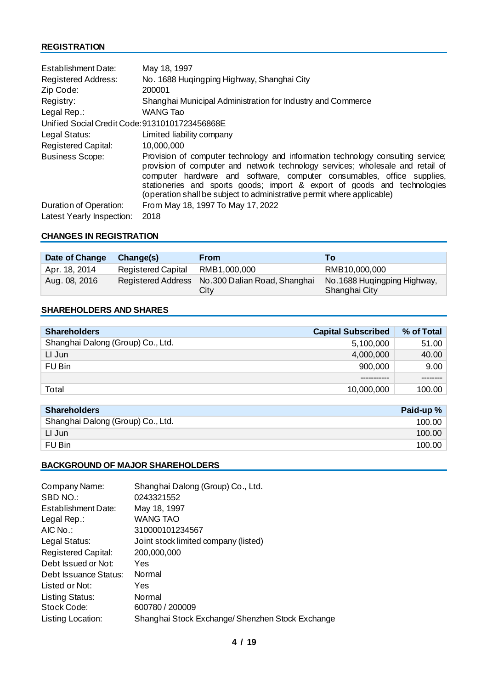#### **REGISTRATION**

| <b>Establishment Date:</b>                     | May 18, 1997                                                                                                                                                                                                                                                                                                                                                                                      |
|------------------------------------------------|---------------------------------------------------------------------------------------------------------------------------------------------------------------------------------------------------------------------------------------------------------------------------------------------------------------------------------------------------------------------------------------------------|
| <b>Registered Address:</b>                     | No. 1688 Hugingping Highway, Shanghai City                                                                                                                                                                                                                                                                                                                                                        |
| Zip Code:                                      | 200001                                                                                                                                                                                                                                                                                                                                                                                            |
| Registry:                                      | Shanghai Municipal Administration for Industry and Commerce                                                                                                                                                                                                                                                                                                                                       |
| Legal Rep.:                                    | <b>WANG Tao</b>                                                                                                                                                                                                                                                                                                                                                                                   |
| Unified Social Credit Code: 91310101723456868E |                                                                                                                                                                                                                                                                                                                                                                                                   |
| Legal Status:                                  | Limited liability company                                                                                                                                                                                                                                                                                                                                                                         |
| <b>Registered Capital:</b>                     | 10,000,000                                                                                                                                                                                                                                                                                                                                                                                        |
| <b>Business Scope:</b>                         | Provision of computer technology and information technology consulting service;<br>provision of computer and network technology services; wholesale and retail of<br>computer hardware and software, computer consumables, office supplies,<br>stationeries and sports goods; import & export of goods and technologies<br>(operation shall be subject to administrative permit where applicable) |
| Duration of Operation:                         | From May 18, 1997 To May 17, 2022                                                                                                                                                                                                                                                                                                                                                                 |
| Latest Yearly Inspection:                      | 2018                                                                                                                                                                                                                                                                                                                                                                                              |

#### **CHANGES IN REGISTRATION**

| Date of Change | Change(s)                 | <b>From</b>                                              | To <b>To</b>                                  |
|----------------|---------------------------|----------------------------------------------------------|-----------------------------------------------|
| Apr. 18, 2014  | <b>Registered Capital</b> | RMB1,000,000                                             | RMB10,000,000                                 |
| Aug. 08, 2016  |                           | Registered Address No. 300 Dalian Road, Shanghai<br>City | No. 1688 Hugingping Highway,<br>Shanghai City |

#### **SHAREHOLDERS AND SHARES**

| <b>Shareholders</b>               | <b>Capital Subscribed</b> | % of Total |
|-----------------------------------|---------------------------|------------|
| Shanghai Dalong (Group) Co., Ltd. | 5,100,000                 | 51.00      |
| LI Jun                            | 4,000,000                 | 40.00      |
| FU Bin                            | 900,000                   | 9.00       |
|                                   |                           |            |
| Total                             | 10,000,000                | 100.00     |

| <b>Shareholders</b>               | Paid-up% |
|-----------------------------------|----------|
| Shanghai Dalong (Group) Co., Ltd. | 100.00   |
| LI Jun                            | 100.00   |
| FU Bin                            | 100.00   |

#### **BACKGROUND OF MAJOR SHAREHOLDERS**

| Company Name:              | Shanghai Dalong (Group) Co., Ltd.                |
|----------------------------|--------------------------------------------------|
| SBD NO.:                   | 0243321552                                       |
| Establishment Date:        | May 18, 1997                                     |
| Legal Rep.:                | <b>WANG TAO</b>                                  |
| AIC No.:                   | 310000101234567                                  |
| Legal Status:              | Joint stock limited company (listed)             |
| <b>Registered Capital:</b> | 200,000,000                                      |
| Debt Issued or Not:        | Yes                                              |
| Debt Issuance Status:      | Normal                                           |
| Listed or Not:             | Yes                                              |
| <b>Listing Status:</b>     | Normal                                           |
| Stock Code:                | 600780 / 200009                                  |
| Listing Location:          | Shanghai Stock Exchange/ Shenzhen Stock Exchange |
|                            |                                                  |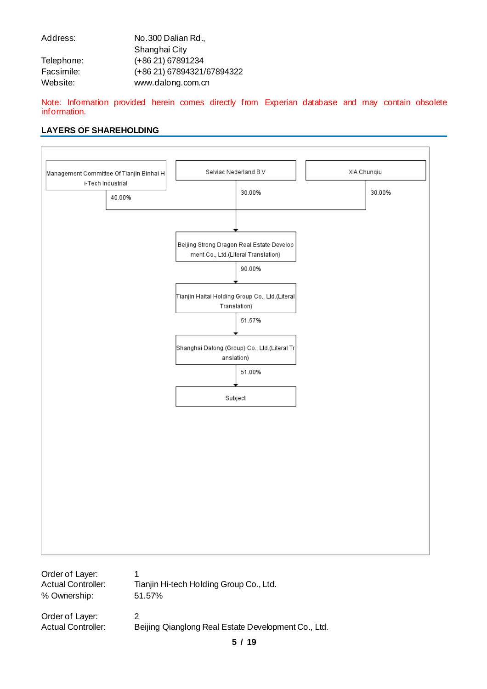| Address:   | No.300 Dalian Rd.,         |
|------------|----------------------------|
|            | Shanghai City              |
| Telephone: | (+86 21) 67891234          |
| Facsimile: | (+86 21) 67894321/67894322 |
| Website:   | www.dalong.com.cn          |

Note: Information provided herein comes directly from Experian database and may contain obsolete information.

#### **LAYERS OF SHAREHOLDING**



Actual Controller: Beijing Qianglong Real Estate Development Co., Ltd.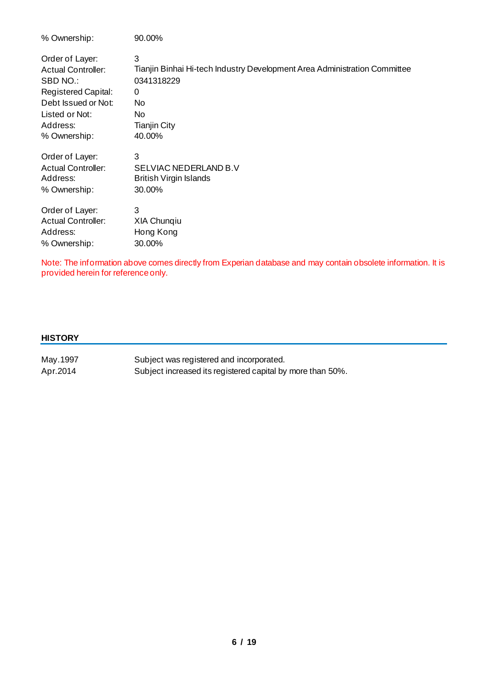| % Ownership:               | 90.00%                                                                    |
|----------------------------|---------------------------------------------------------------------------|
| Order of Layer:            | 3                                                                         |
| <b>Actual Controller:</b>  | Tianjin Binhai Hi-tech Industry Development Area Administration Committee |
| SBD NO.:                   | 0341318229                                                                |
| <b>Registered Capital:</b> | 0                                                                         |
| Debt Issued or Not:        | No                                                                        |
| Listed or Not:             | No                                                                        |
| Address:                   | <b>Tianjin City</b>                                                       |
| % Ownership:               | 40.00%                                                                    |
| Order of Layer:            | 3                                                                         |
| <b>Actual Controller:</b>  | SELVIAC NEDERLAND B.V                                                     |
| Address:                   | <b>British Virgin Islands</b>                                             |
| % Ownership:               | 30.00%                                                                    |
| Order of Layer:            | 3                                                                         |
| <b>Actual Controller:</b>  | <b>XIA Chungiu</b>                                                        |
| Address:                   | Hong Kong                                                                 |
| % Ownership:               | 30.00%                                                                    |

Note: The information above comes directly from Experian database and may contain obsolete information. It is provided herein for reference only.

#### **HISTORY**

| May 1997 | Subject was registered and incorporated.                   |
|----------|------------------------------------------------------------|
| Apr.2014 | Subject increased its registered capital by more than 50%. |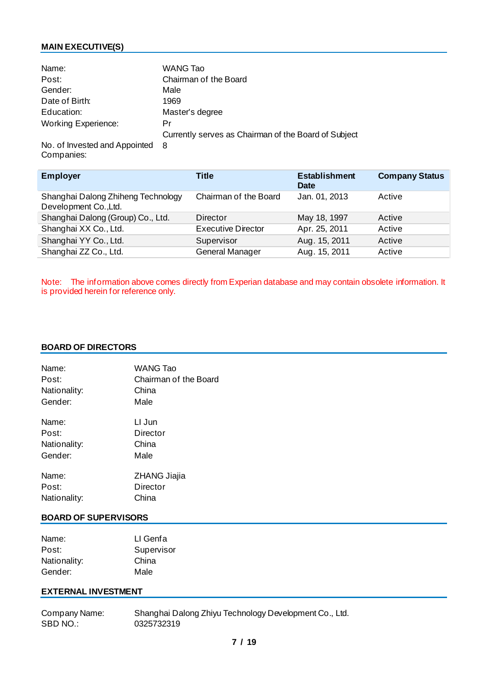#### **MAIN EXECUTIVE(S)**

| Name:                      | WANG Tao                                             |
|----------------------------|------------------------------------------------------|
| Post:                      | Chairman of the Board                                |
| Gender:                    | Male                                                 |
| Date of Birth:             | 1969                                                 |
| Education:                 | Master's degree                                      |
| <b>Working Experience:</b> | Pr                                                   |
|                            | Currently serves as Chairman of the Board of Subject |
|                            |                                                      |

No. of Invested and Appointed 8 Companies:

| <b>Employer</b>                                             | <b>Title</b>              | <b>Establishment</b><br><b>Date</b> | <b>Company Status</b> |
|-------------------------------------------------------------|---------------------------|-------------------------------------|-----------------------|
| Shanghai Dalong Zhiheng Technology<br>Development Co., Ltd. | Chairman of the Board     | Jan. 01, 2013                       | Active                |
| Shanghai Dalong (Group) Co., Ltd.                           | Director                  | May 18, 1997                        | Active                |
| Shanghai XX Co., Ltd.                                       | <b>Executive Director</b> | Apr. 25, 2011                       | Active                |
| Shanghai YY Co., Ltd.                                       | Supervisor                | Aug. 15, 2011                       | Active                |
| Shanghai ZZ Co., Ltd.                                       | General Manager           | Aug. 15, 2011                       | Active                |

Note: The information above comes directly from Experian database and may contain obsolete information. It is provided herein for reference only.

#### **BOARD OF DIRECTORS**

| Name:        | <b>WANG Tao</b>       |
|--------------|-----------------------|
| Post:        | Chairman of the Board |
| Nationality: | China                 |
| Gender:      | Male                  |
| Name:        | LI Jun                |
| Post:        | Director              |
| Nationality: | China                 |
| Gender:      | Male                  |
| Name:        | ZHANG Jiajia          |
| Post:        | Director              |
| Nationality: | China                 |

#### **BOARD OF SUPERVISORS**

| Name:        | LI Genfa   |
|--------------|------------|
| Post:        | Supervisor |
| Nationality: | China      |
| Gender:      | Male       |

#### **EXTERNAL INVESTMENT**

Company Name: Shanghai Dalong Zhiyu Technology Development Co., Ltd.<br>SBD NO.: 0325732319 0325732319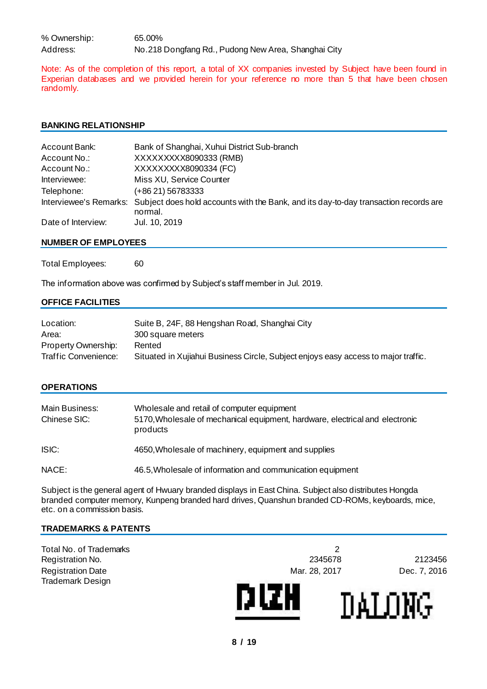% Ownership: 65.00% Address: No.218 Dongfang Rd., Pudong New Area, Shanghai City

Note: As of the completion of this report, a total of XX companies invested by Subject have been found in Experian databases and we provided herein for your reference no more than 5 that have been chosen randomly.

#### **BANKING RELATIONSHIP**

| Account Bank:      | Bank of Shanghai, Xuhui District Sub-branch                                                                            |
|--------------------|------------------------------------------------------------------------------------------------------------------------|
| Account No.:       | XXXXXXXX8090333 (RMB)                                                                                                  |
| Account No.:       | XXXXXXXX8090334 (FC)                                                                                                   |
| Interviewee:       | Miss XU, Service Counter                                                                                               |
| Telephone:         | (+86 21) 56783333                                                                                                      |
|                    | Interviewee's Remarks: Subject does hold accounts with the Bank, and its day-to-day transaction records are<br>normal. |
| Date of Interview: | Jul. 10, 2019                                                                                                          |

#### **NUMBER OF EMPLOYEES**

Total Employees: 60

The information above was confirmed by Subject's staff member in Jul. 2019.

#### **OFFICE FACILITIES**

| Location:            | Suite B, 24F, 88 Hengshan Road, Shanghai City                                      |
|----------------------|------------------------------------------------------------------------------------|
| Area:                | 300 square meters                                                                  |
| Property Ownership:  | Rented                                                                             |
| Traffic Convenience: | Situated in Xujiahui Business Circle, Subject enjoys easy access to major traffic. |

#### **OPERATIONS**

| Main Business:<br>Chinese SIC: | Wholesale and retail of computer equipment<br>5170, Wholesale of mechanical equipment, hardware, electrical and electronic<br>products |
|--------------------------------|----------------------------------------------------------------------------------------------------------------------------------------|
| ISIC:                          | 4650, Wholesale of machinery, equipment and supplies                                                                                   |
| NACE:                          | 46.5, Wholesale of information and communication equipment                                                                             |

Subject is the general agent of Hwuary branded displays in East China. Subject also distributes Hongda branded computer memory, Kunpeng branded hard drives, Quanshun branded CD-ROMs, keyboards, mice, etc. on a commission basis.

#### **TRADEMARKS & PATENTS**

Total No. of Trademarks 2 Registration No. 2345678 2123456 Registration Date **Mar. 28, 2017** Dec. 7, 2016 Trademark Design



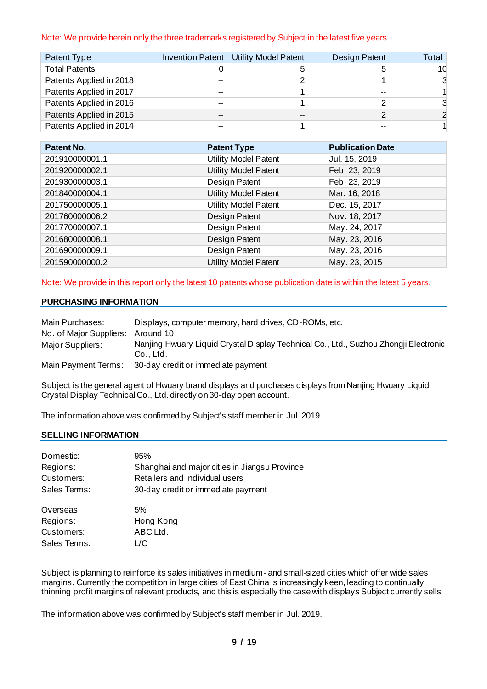#### Note: We provide herein only the three trademarks registered by Subject in the latest five years.

| Patent Type             |    | Invention Patent Utility Model Patent | Design Patent | Total |
|-------------------------|----|---------------------------------------|---------------|-------|
| <b>Total Patents</b>    |    | :C                                    |               | 10    |
| Patents Applied in 2018 |    |                                       |               | 3     |
| Patents Applied in 2017 |    |                                       |               |       |
| Patents Applied in 2016 |    |                                       |               |       |
| Patents Applied in 2015 | -- | --                                    |               |       |
| Patents Applied in 2014 |    |                                       |               |       |

| Patent No.     | <b>Patent Type</b>          | <b>Publication Date</b> |
|----------------|-----------------------------|-------------------------|
| 201910000001.1 | <b>Utility Model Patent</b> | Jul. 15, 2019           |
| 201920000002.1 | <b>Utility Model Patent</b> | Feb. 23, 2019           |
| 201930000003.1 | Design Patent               | Feb. 23, 2019           |
| 201840000004.1 | <b>Utility Model Patent</b> | Mar. 16, 2018           |
| 201750000005.1 | <b>Utility Model Patent</b> | Dec. 15, 2017           |
| 201760000006.2 | Design Patent               | Nov. 18, 2017           |
| 201770000007.1 | Design Patent               | May. 24, 2017           |
| 201680000008.1 | Design Patent               | May. 23, 2016           |
| 201690000009.1 | Design Patent               | May. 23, 2016           |
| 201590000000.2 | Utility Model Patent        | May. 23, 2015           |

Note: We provide in this report only the latest 10 patents whose publication date is within the latest 5 years.

#### **PURCHASING INFORMATION**

| Main Purchases:         | Displays, computer memory, hard drives, CD-ROMs, etc.                                             |
|-------------------------|---------------------------------------------------------------------------------------------------|
| No. of Major Suppliers: | Around 10                                                                                         |
| Major Suppliers:        | Nanjing Hwuary Liquid Crystal Display Technical Co., Ltd., Suzhou Zhongji Electronic<br>Co., Ltd. |
| Main Payment Terms:     | 30-day credit or immediate payment                                                                |

Subject is the general agent of Hwuary brand displays and purchases displays from Nanjing Hwuary Liquid Crystal Display Technical Co., Ltd. directly on 30-day open account.

The information above was confirmed by Subject's staff member in Jul. 2019.

#### **SELLING INFORMATION**

| Domestic:    | 95%                                           |
|--------------|-----------------------------------------------|
| Regions:     | Shanghai and major cities in Jiangsu Province |
| Customers:   | Retailers and individual users                |
| Sales Terms: | 30-day credit or immediate payment            |
| Overseas:    | 5%                                            |
| Regions:     | Hong Kong                                     |
| Customers:   | ABC Ltd.                                      |
| Sales Terms: | L/C                                           |

Subject is planning to reinforce its sales initiatives in medium- and small-sized cities which offer wide sales margins. Currently the competition in large cities of East China is increasingly keen, leading to continually thinning profit margins of relevant products, and this is especially the case with displays Subject currently sells.

The information above was confirmed by Subject's staff member in Jul. 2019.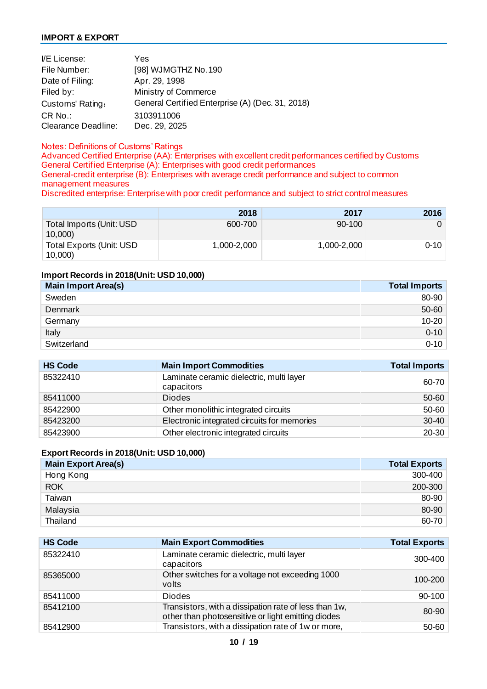#### **IMPORT & EXPORT**

| I/E License:               | Yes                                              |
|----------------------------|--------------------------------------------------|
| File Number:               | [98] WJMGTHZ No.190                              |
| Date of Filing:            | Apr. 29, 1998                                    |
| Filed by:                  | Ministry of Commerce                             |
| Customs' Rating:           | General Certified Enterprise (A) (Dec. 31, 2018) |
| $CR$ No.:                  | 3103911006                                       |
| <b>Clearance Deadline:</b> | Dec. 29, 2025                                    |

#### Notes: Definitions of Customs' Ratings

Advanced Certified Enterprise (AA): Enterprises with excellent credit performances certified by Customs General Certified Enterprise (A): Enterprises with good credit performances General-credit enterprise (B): Enterprises with average credit performance and subject to common management measures

Discredited enterprise: Enterprise with poor credit performance and subject to strict control measures

|                                     | 2018        | 2017        | 2016     |
|-------------------------------------|-------------|-------------|----------|
| Total Imports (Unit: USD<br>10,000  | 600-700     | 90-100      | 0        |
| Total Exports (Unit: USD<br>10,000) | 1,000-2,000 | 1,000-2,000 | $0 - 10$ |

#### **Import Records in 2018(Unit: USD 10,000)**

| <b>Main Import Area(s)</b> | <b>Total Imports</b> |
|----------------------------|----------------------|
| Sweden                     | 80-90                |
| Denmark                    | 50-60                |
| Germany                    | $10-20$              |
| Italy                      | $0 - 10$             |
| Switzerland                | $0 - 10$             |

| <b>HS Code</b> | <b>Main Import Commodities</b>                         | <b>Total Imports</b> |
|----------------|--------------------------------------------------------|----------------------|
| 85322410       | Laminate ceramic dielectric, multi layer<br>capacitors | 60-70                |
| 85411000       | <b>Diodes</b>                                          | 50-60                |
| 85422900       | Other monolithic integrated circuits                   | 50-60                |
| 85423200       | Electronic integrated circuits for memories            | $30 - 40$            |
| 85423900       | Other electronic integrated circuits                   | 20-30                |

#### **Export Records in 2018(Unit: USD 10,000)**

| <b>Main Export Area(s)</b> | <b>Total Exports</b> |
|----------------------------|----------------------|
| Hong Kong                  | 300-400              |
| <b>ROK</b>                 | 200-300              |
| Taiwan                     | 80-90                |
| Malaysia                   | 80-90                |
| Thailand                   | 60-70                |

| <b>HS Code</b> | <b>Main Export Commodities</b>                                                                              | <b>Total Exports</b> |
|----------------|-------------------------------------------------------------------------------------------------------------|----------------------|
| 85322410       | Laminate ceramic dielectric, multi layer<br>capacitors                                                      | 300-400              |
| 85365000       | Other switches for a voltage not exceeding 1000<br>volts                                                    | 100-200              |
| 85411000       | <b>Diodes</b>                                                                                               | $90 - 100$           |
| 85412100       | Transistors, with a dissipation rate of less than 1w,<br>other than photosensitive or light emitting diodes | 80-90                |
| 85412900       | Transistors, with a dissipation rate of 1w or more,                                                         | $50 - 60$            |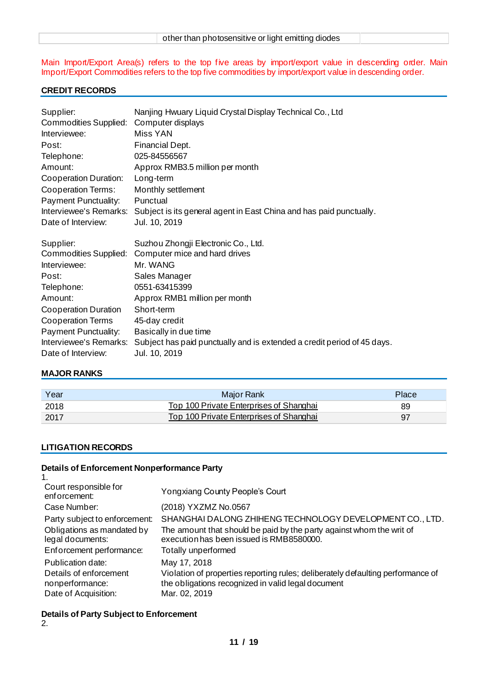| other than photosensitive or light emitting diodes |  |
|----------------------------------------------------|--|
|                                                    |  |

Main Import/Export Area(s) refers to the top five areas by import/export value in descending order. Main Import/Export Commodities refers to the top five commodities by import/export value in descending order.

#### **CREDIT RECORDS**

| Supplier:                    | Nanjing Hwuary Liquid Crystal Display Technical Co., Ltd                |
|------------------------------|-------------------------------------------------------------------------|
| Commodities Supplied:        | Computer displays                                                       |
| Interviewee:                 | Miss YAN                                                                |
| Post:                        | Financial Dept.                                                         |
| Telephone:                   | 025-84556567                                                            |
| Amount:                      | Approx RMB3.5 million per month                                         |
| Cooperation Duration:        | Long-term                                                               |
| Cooperation Terms:           | Monthly settlement                                                      |
| Payment Punctuality:         | Punctual                                                                |
| Interviewee's Remarks:       | Subject is its general agent in East China and has paid punctually.     |
| Date of Interview:           | Jul. 10, 2019                                                           |
|                              |                                                                         |
|                              |                                                                         |
| Supplier:                    | Suzhou Zhongji Electronic Co., Ltd.                                     |
| <b>Commodities Supplied:</b> | Computer mice and hard drives                                           |
| Interviewee:                 | Mr. WANG                                                                |
| Post:                        | Sales Manager                                                           |
| Telephone:                   | 0551-63415399                                                           |
| Amount:                      | Approx RMB1 million per month                                           |
| Cooperation Duration         | Short-term                                                              |
| <b>Cooperation Terms</b>     | 45-day credit                                                           |
| Payment Punctuality:         | Basically in due time                                                   |
| Interviewee's Remarks:       | Subject has paid punctually and is extended a credit period of 45 days. |

#### **MAJOR RANKS**

| Year | Major Rank                              | Place |
|------|-----------------------------------------|-------|
| 2018 | Top 100 Private Enterprises of Shanghai | 89    |
| 2017 | Top 100 Private Enterprises of Shanghai | 97    |

#### **LITIGATION RECORDS**

#### **Details of Enforcement Nonperformance Party**

| Yongxiang County People's Court                                                                                                                                        |
|------------------------------------------------------------------------------------------------------------------------------------------------------------------------|
| (2018) YXZMZ No.0567                                                                                                                                                   |
| SHANGHAI DALONG ZHIHENG TECHNOLOGY DEVELOPMENT CO., LTD.                                                                                                               |
| The amount that should be paid by the party against whom the writ of<br>execution has been issued is RMB8580000.                                                       |
| Totally unperformed                                                                                                                                                    |
| May 17, 2018<br>Violation of properties reporting rules; deliberately defaulting performance of<br>the obligations recognized in valid legal document<br>Mar. 02, 2019 |
|                                                                                                                                                                        |

#### **Details of Party Subject to Enforcement**

2.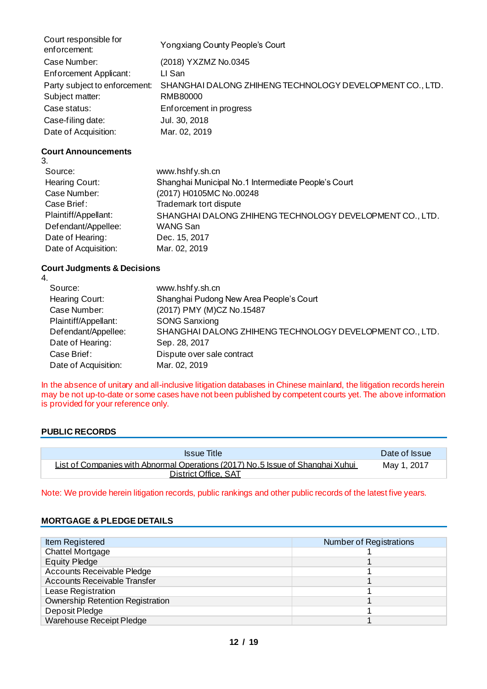| Court responsible for<br>enforcement: | Yongxiang County People's Court                          |
|---------------------------------------|----------------------------------------------------------|
| Case Number:                          | (2018) YXZMZ No.0345                                     |
| Enforcement Applicant:                | LI San                                                   |
| Party subject to enforcement:         | SHANGHAI DALONG ZHIHENG TECHNOLOGY DEVELOPMENT CO., LTD. |
| Subject matter:                       | RMB80000                                                 |
| Case status:                          | Enforcement in progress                                  |
| Case-filing date:                     | Jul. 30, 2018                                            |
| Date of Acquisition:                  | Mar. 02, 2019                                            |

#### **Court Announcements**

| 3.                   |                                                          |
|----------------------|----------------------------------------------------------|
| Source:              | www.hshfy.sh.cn                                          |
| Hearing Court:       | Shanghai Municipal No.1 Intermediate People's Court      |
| Case Number:         | (2017) H0105MC No.00248                                  |
| Case Brief:          | Trademark tort dispute                                   |
| Plaintiff/Appellant: | SHANGHAI DALONG ZHIHENG TECHNOLOGY DEVELOPMENT CO., LTD. |
| Defendant/Appellee:  | WANG San                                                 |
| Date of Hearing:     | Dec. 15, 2017                                            |
| Date of Acquisition: | Mar. 02, 2019                                            |

#### **Court Judgments & Decisions**

| 4.                   |                                                          |
|----------------------|----------------------------------------------------------|
| Source:              | www.hshfy.sh.cn                                          |
| Hearing Court:       | Shanghai Pudong New Area People's Court                  |
| Case Number:         | (2017) PMY (M)CZ No.15487                                |
| Plaintiff/Appellant: | <b>SONG Sanxiong</b>                                     |
| Defendant/Appellee:  | SHANGHAI DALONG ZHIHENG TECHNOLOGY DEVELOPMENT CO., LTD. |
| Date of Hearing:     | Sep. 28, 2017                                            |
| Case Brief:          | Dispute over sale contract                               |
| Date of Acquisition: | Mar. 02, 2019                                            |

In the absence of unitary and all-inclusive litigation databases in Chinese mainland, the litigation records herein may be not up-to-date or some cases have not been published by competent courts yet. The above information is provided for your reference only.

#### **PUBLIC RECORDS**

| <b>Issue Title</b>                                                             | Date of Issue |
|--------------------------------------------------------------------------------|---------------|
| List of Companies with Abnormal Operations (2017) No.5 Issue of Shanghai Xuhui | May 1, 2017   |
| <b>District Office, SAT</b>                                                    |               |

Note: We provide herein litigation records, public rankings and other public records of the latest five years.

#### **MORTGAGE & PLEDGE DETAILS**

| Item Registered                         | <b>Number of Registrations</b> |
|-----------------------------------------|--------------------------------|
| <b>Chattel Mortgage</b>                 |                                |
| <b>Equity Pledge</b>                    |                                |
| Accounts Receivable Pledge              |                                |
| <b>Accounts Receivable Transfer</b>     |                                |
| Lease Registration                      |                                |
| <b>Ownership Retention Registration</b> |                                |
| Deposit Pledge                          |                                |
| <b>Warehouse Receipt Pledge</b>         |                                |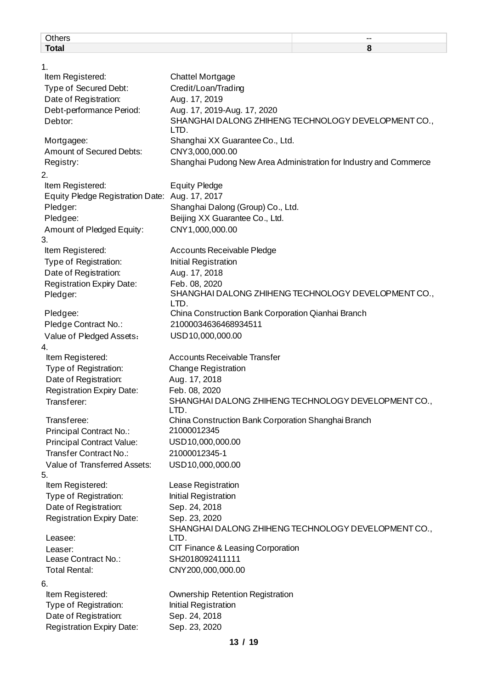| <b>Others</b>                                  |                                                     |                                                                   |
|------------------------------------------------|-----------------------------------------------------|-------------------------------------------------------------------|
| <b>Total</b>                                   |                                                     | 8                                                                 |
| 1.                                             |                                                     |                                                                   |
| Item Registered:                               | <b>Chattel Mortgage</b>                             |                                                                   |
| Type of Secured Debt:                          | Credit/Loan/Trading                                 |                                                                   |
| Date of Registration:                          | Aug. 17, 2019                                       |                                                                   |
| Debt-performance Period:                       | Aug. 17, 2019-Aug. 17, 2020                         |                                                                   |
| Debtor:                                        | LTD.                                                | SHANGHAI DALONG ZHIHENG TECHNOLOGY DEVELOPMENT CO.,               |
| Mortgagee:                                     | Shanghai XX Guarantee Co., Ltd.                     |                                                                   |
| Amount of Secured Debts:                       | CNY3,000,000.00                                     |                                                                   |
| Registry:                                      |                                                     | Shanghai Pudong New Area Administration for Industry and Commerce |
| 2.                                             |                                                     |                                                                   |
| Item Registered:                               | <b>Equity Pledge</b>                                |                                                                   |
| Equity Pledge Registration Date: Aug. 17, 2017 |                                                     |                                                                   |
| Pledger:                                       | Shanghai Dalong (Group) Co., Ltd.                   |                                                                   |
| Pledgee:                                       | Beijing XX Guarantee Co., Ltd.                      |                                                                   |
| Amount of Pledged Equity:                      | CNY1,000,000.00                                     |                                                                   |
| 3.                                             |                                                     |                                                                   |
| Item Registered:                               | Accounts Receivable Pledge                          |                                                                   |
| Type of Registration:                          | Initial Registration                                |                                                                   |
| Date of Registration:                          | Aug. 17, 2018                                       |                                                                   |
| <b>Registration Expiry Date:</b>               | Feb. 08, 2020                                       |                                                                   |
| Pledger:                                       | LTD.                                                | SHANGHAI DALONG ZHIHENG TECHNOLOGY DEVELOPMENT CO.,               |
| Pledgee:                                       | China Construction Bank Corporation Qianhai Branch  |                                                                   |
| Pledge Contract No.:                           | 21000034636468934511                                |                                                                   |
| Value of Pledged Assets:                       | USD10,000,000.00                                    |                                                                   |
| 4.                                             |                                                     |                                                                   |
| Item Registered:                               | <b>Accounts Receivable Transfer</b>                 |                                                                   |
| Type of Registration:                          | <b>Change Registration</b>                          |                                                                   |
| Date of Registration:                          | Aug. 17, 2018                                       |                                                                   |
| <b>Registration Expiry Date:</b>               | Feb. 08, 2020                                       |                                                                   |
| Transferer:                                    |                                                     | SHANGHAI DALONG ZHIHENG TECHNOLOGY DEVELOPMENT CO.,               |
|                                                | LTD.                                                |                                                                   |
| Transferee:                                    | China Construction Bank Corporation Shanghai Branch |                                                                   |
| Principal Contract No.:                        | 21000012345                                         |                                                                   |
| <b>Principal Contract Value:</b>               | USD10,000,000.00                                    |                                                                   |
| Transfer Contract No.:                         | 21000012345-1                                       |                                                                   |
| Value of Transferred Assets:                   | USD10,000,000.00                                    |                                                                   |
| 5.<br>Item Registered:                         | Lease Registration                                  |                                                                   |
| Type of Registration:                          | Initial Registration                                |                                                                   |
| Date of Registration:                          | Sep. 24, 2018                                       |                                                                   |
| <b>Registration Expiry Date:</b>               | Sep. 23, 2020                                       |                                                                   |
|                                                |                                                     | SHANGHAI DALONG ZHIHENG TECHNOLOGY DEVELOPMENT CO.,               |
| Leasee:                                        | LTD.                                                |                                                                   |
| Leaser:                                        | CIT Finance & Leasing Corporation                   |                                                                   |

Lease Contract No.: SH2018092411111 Total Rental: CNY200,000,000.00

6.<br>Item Registered: Type of Registration: Initial Registration Date of Registration: Sep. 24, 2018<br>Registration Expiry Date: Sep. 23, 2020 Registration Expiry Date:

**13 / 19**

**Ownership Retention Registration**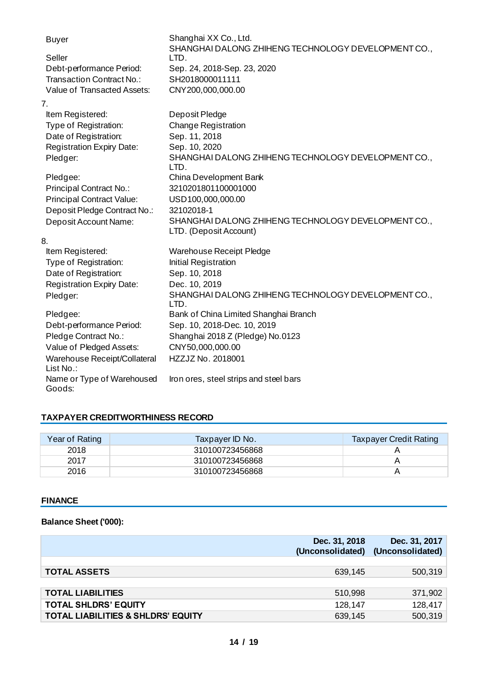| <b>Buyer</b>                         | Shanghai XX Co., Ltd.<br>SHANGHAI DALONG ZHIHENG TECHNOLOGY DEVELOPMENT CO., |
|--------------------------------------|------------------------------------------------------------------------------|
| Seller                               | LTD.                                                                         |
| Debt-performance Period:             | Sep. 24, 2018-Sep. 23, 2020                                                  |
| Transaction Contract No.:            | SH2018000011111                                                              |
| Value of Transacted Assets:          | CNY200,000,000.00                                                            |
| 7.                                   |                                                                              |
| Item Registered:                     | Deposit Pledge                                                               |
| Type of Registration:                | <b>Change Registration</b>                                                   |
| Date of Registration:                | Sep. 11, 2018                                                                |
| <b>Registration Expiry Date:</b>     | Sep. 10, 2020                                                                |
| Pledger:                             | SHANGHAI DALONG ZHIHENG TECHNOLOGY DEVELOPMENT CO.,<br>LTD.                  |
| Pledgee:                             | China Development Bank                                                       |
| Principal Contract No.:              | 3210201801100001000                                                          |
| <b>Principal Contract Value:</b>     | USD100,000,000.00                                                            |
| Deposit Pledge Contract No.:         | 32102018-1                                                                   |
| Deposit Account Name:                | SHANGHAI DALONG ZHIHENG TECHNOLOGY DEVELOPMENT CO.,                          |
|                                      | LTD. (Deposit Account)                                                       |
| 8.                                   |                                                                              |
| Item Registered:                     | <b>Warehouse Receipt Pledge</b>                                              |
| Type of Registration:                | Initial Registration                                                         |
| Date of Registration:                | Sep. 10, 2018                                                                |
| <b>Registration Expiry Date:</b>     | Dec. 10, 2019                                                                |
| Pledger:                             | SHANGHAI DALONG ZHIHENG TECHNOLOGY DEVELOPMENT CO.,<br>LTD.                  |
| Pledgee:                             | Bank of China Limited Shanghai Branch                                        |
| Debt-performance Period:             | Sep. 10, 2018-Dec. 10, 2019                                                  |
| Pledge Contract No.:                 | Shanghai 2018 Z (Pledge) No.0123                                             |
| Value of Pledged Assets:             | CNY50,000,000.00                                                             |
| Warehouse Receipt/Collateral         | HZZJZ No. 2018001                                                            |
| List No.:                            |                                                                              |
| Name or Type of Warehoused<br>Goods: | Iron ores, steel strips and steel bars                                       |

#### **TAXPAYER CREDITWORTHINESS RECORD**

| Year of Rating | Taxpayer ID No. | <b>Taxpayer Credit Rating</b> |
|----------------|-----------------|-------------------------------|
| 2018           | 310100723456868 |                               |
| 2017           | 310100723456868 |                               |
| 2016           | 310100723456868 |                               |

#### **FINANCE**

#### **Balance Sheet ('000):**

|                                               | Dec. 31, 2018 | Dec. 31, 2017<br>(Unconsolidated) (Unconsolidated) |
|-----------------------------------------------|---------------|----------------------------------------------------|
|                                               |               |                                                    |
| <b>TOTAL ASSETS</b>                           | 639.145       | 500,319                                            |
|                                               |               |                                                    |
| <b>TOTAL LIABILITIES</b>                      | 510,998       | 371,902                                            |
| <b>TOTAL SHLDRS' EQUITY</b>                   | 128,147       | 128,417                                            |
| <b>TOTAL LIABILITIES &amp; SHLDRS' EQUITY</b> | 639,145       | 500,319                                            |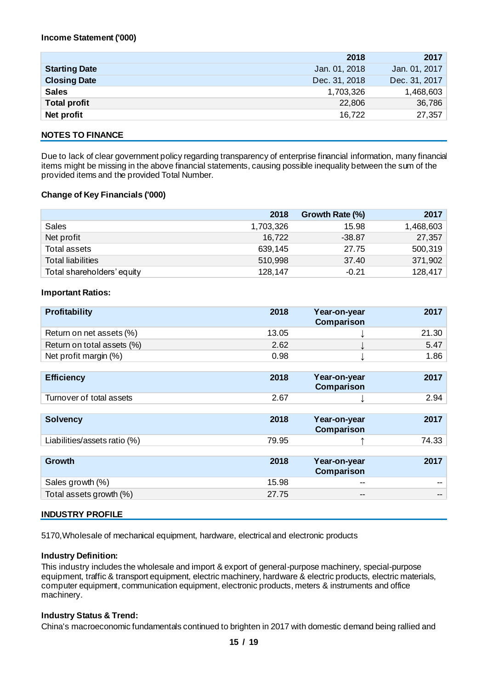|                      | 2018          | 2017          |
|----------------------|---------------|---------------|
| <b>Starting Date</b> | Jan. 01, 2018 | Jan. 01, 2017 |
| <b>Closing Date</b>  | Dec. 31, 2018 | Dec. 31, 2017 |
| <b>Sales</b>         | 1,703,326     | 1,468,603     |
| <b>Total profit</b>  | 22,806        | 36,786        |
| Net profit           | 16,722        | 27,357        |
|                      |               |               |

#### **NOTES TO FINANCE**

Due to lack of clear government policy regarding transparency of enterprise financial information, many financial items might be missing in the above financial statements, causing possible inequality between the sum of the provided items and the provided Total Number.

#### **Change of Key Financials ('000)**

|                            | 2018      | Growth Rate (%) | 2017      |
|----------------------------|-----------|-----------------|-----------|
| Sales                      | 1,703,326 | 15.98           | 1,468,603 |
| Net profit                 | 16,722    | $-38.87$        | 27,357    |
| Total assets               | 639,145   | 27.75           | 500,319   |
| <b>Total liabilities</b>   | 510,998   | 37.40           | 371,902   |
| Total shareholders' equity | 128,147   | $-0.21$         | 128,417   |

#### **Important Ratios:**

| Profitability                | 2018  | Year-on-year<br>Comparison | 2017  |
|------------------------------|-------|----------------------------|-------|
| Return on net assets (%)     | 13.05 |                            | 21.30 |
| Return on total assets (%)   | 2.62  |                            | 5.47  |
| Net profit margin (%)        | 0.98  |                            | 1.86  |
|                              |       |                            |       |
| <b>Efficiency</b>            | 2018  | Year-on-year<br>Comparison | 2017  |
| Turnover of total assets     | 2.67  |                            | 2.94  |
|                              |       |                            |       |
| <b>Solvency</b>              | 2018  | Year-on-year<br>Comparison | 2017  |
| Liabilities/assets ratio (%) | 79.95 |                            | 74.33 |
|                              |       |                            |       |
| <b>Growth</b>                | 2018  | Year-on-year<br>Comparison | 2017  |
| Sales growth (%)             | 15.98 | --                         | --    |
| Total assets growth (%)      | 27.75 | --                         | --    |

#### **INDUSTRY PROFILE**

5170,Wholesale of mechanical equipment, hardware, electrical and electronic products

#### **Industry Definition:**

This industry includes the wholesale and import & export of general-purpose machinery, special-purpose equipment, traffic & transport equipment, electric machinery, hardware & electric products, electric materials, computer equipment, communication equipment, electronic products, meters & instruments and office machinery.

#### **Industry Status & Trend:**

China's macroeconomic fundamentals continued to brighten in 2017 with domestic demand being rallied and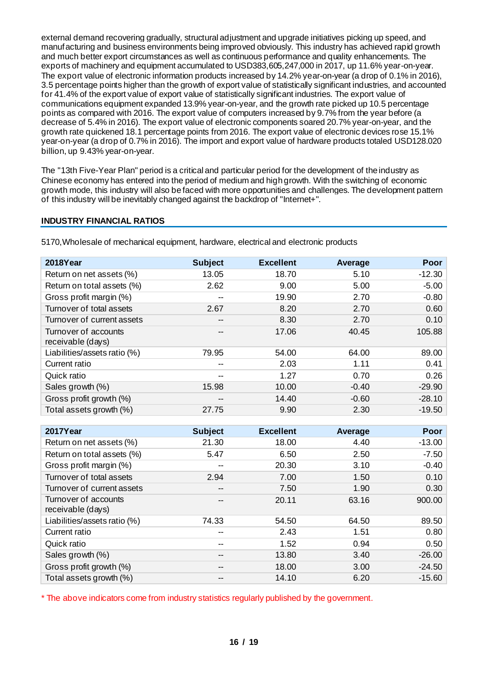external demand recovering gradually, structural adjustment and upgrade initiatives picking up speed, and manufacturing and business environments being improved obviously. This industry has achieved rapid growth and much better export circumstances as well as continuous performance and quality enhancements. The exports of machinery and equipment accumulated to USD383,605,247,000 in 2017, up 11.6% year-on-year. The export value of electronic information products increased by 14.2% year-on-year (a drop of 0.1% in 2016), 3.5 percentage points higher than the growth of export value of statistically significant industries, and accounted for 41.4% of the export value of export value of statistically significant industries. The export value of communications equipment expanded 13.9% year-on-year, and the growth rate picked up 10.5 percentage points as compared with 2016. The export value of computers increased by 9.7% from the year before (a decrease of 5.4% in 2016). The export value of electronic components soared 20.7% year-on-year, and the growth rate quickened 18.1 percentage points from 2016. The export value of electronic devices rose 15.1% year-on-year (a drop of 0.7% in 2016). The import and export value of hardware products totaled USD128.020 billion, up 9.43% year-on-year.

The "13th Five-Year Plan" period is a critical and particular period for the development of the industry as Chinese economy has entered into the period of medium and high growth. With the switching of economic growth mode, this industry will also be faced with more opportunities and challenges. The development pattern of this industry will be inevitably changed against the backdrop of "Internet+".

#### **INDUSTRY FINANCIAL RATIOS**

| 2018Year                                  | <b>Subject</b> | <b>Excellent</b> | Average | Poor     |
|-------------------------------------------|----------------|------------------|---------|----------|
| Return on net assets (%)                  | 13.05          | 18.70            | 5.10    | $-12.30$ |
| Return on total assets (%)                | 2.62           | 9.00             | 5.00    | $-5.00$  |
| Gross profit margin (%)                   | --             | 19.90            | 2.70    | $-0.80$  |
| Turnover of total assets                  | 2.67           | 8.20             | 2.70    | 0.60     |
| Turnover of current assets                | --             | 8.30             | 2.70    | 0.10     |
| Turnover of accounts<br>receivable (days) | --             | 17.06            | 40.45   | 105.88   |
| Liabilities/assets ratio (%)              | 79.95          | 54.00            | 64.00   | 89.00    |
| Current ratio                             | --             | 2.03             | 1.11    | 0.41     |
| Quick ratio                               | --             | 1.27             | 0.70    | 0.26     |
| Sales growth (%)                          | 15.98          | 10.00            | $-0.40$ | $-29.90$ |
| Gross profit growth (%)                   | --             | 14.40            | $-0.60$ | $-28.10$ |
| Total assets growth (%)                   | 27.75          | 9.90             | 2.30    | $-19.50$ |

5170,Wholesale of mechanical equipment, hardware, electrical and electronic products

| 2017Year                                  | <b>Subject</b> | <b>Excellent</b> | Average | Poor     |
|-------------------------------------------|----------------|------------------|---------|----------|
| Return on net assets (%)                  | 21.30          | 18.00            | 4.40    | $-13.00$ |
| Return on total assets (%)                | 5.47           | 6.50             | 2.50    | $-7.50$  |
| Gross profit margin (%)                   | --             | 20.30            | 3.10    | $-0.40$  |
| Turnover of total assets                  | 2.94           | 7.00             | 1.50    | 0.10     |
| Turnover of current assets                | --             | 7.50             | 1.90    | 0.30     |
| Turnover of accounts<br>receivable (days) | --             | 20.11            | 63.16   | 900.00   |
| Liabilities/assets ratio (%)              | 74.33          | 54.50            | 64.50   | 89.50    |
| Current ratio                             | --             | 2.43             | 1.51    | 0.80     |
| Quick ratio                               | --             | 1.52             | 0.94    | 0.50     |
| Sales growth (%)                          | --             | 13.80            | 3.40    | $-26.00$ |
| Gross profit growth (%)                   | --             | 18.00            | 3.00    | $-24.50$ |
| Total assets growth (%)                   |                | 14.10            | 6.20    | $-15.60$ |

\* The above indicators come from industry statistics regularly published by the government.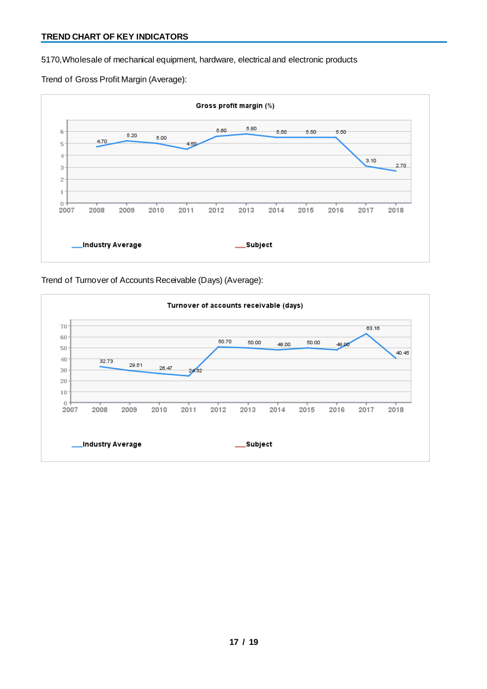5170,Wholesale of mechanical equipment, hardware, electrical and electronic products

Trend of Gross Profit Margin (Average):



Trend of Turnover of Accounts Receivable (Days) (Average):

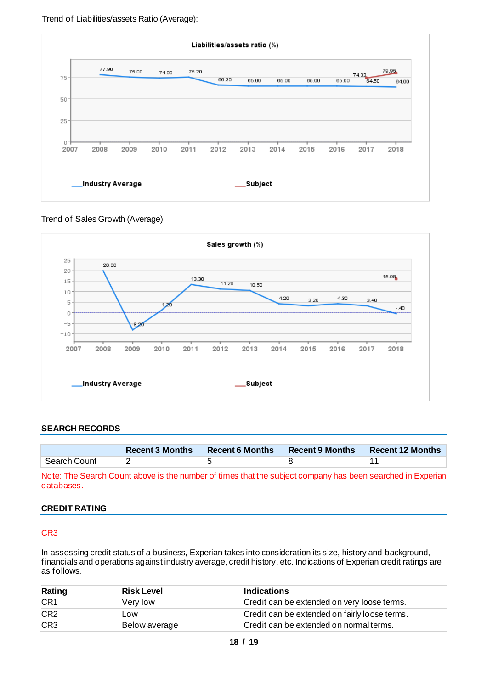

Trend of Sales Growth (Average):



#### **SEARCH RECORDS**

|              | <b>Recent 3 Months</b> | <b>Recent 6 Months</b> | <b>Recent 9 Months</b> | <b>Recent 12 Months</b> |
|--------------|------------------------|------------------------|------------------------|-------------------------|
| Search Count |                        |                        |                        |                         |

Note: The Search Count above is the number of times that the subject company has been searched in Experian databases.

#### **CREDIT RATING**

#### CR3

In assessing credit status of a business, Experian takes into consideration its size, history and background, financials and operations against industry average, credit history, etc. Indications of Experian credit ratings are as follows.

| Rating          | <b>Risk Level</b> | <b>Indications</b>                            |
|-----------------|-------------------|-----------------------------------------------|
| CR <sub>1</sub> | Verv low          | Credit can be extended on very loose terms.   |
| CR <sub>2</sub> | ∟ow               | Credit can be extended on fairly loose terms. |
| CR <sub>3</sub> | Below average     | Credit can be extended on normal terms.       |
|                 |                   |                                               |